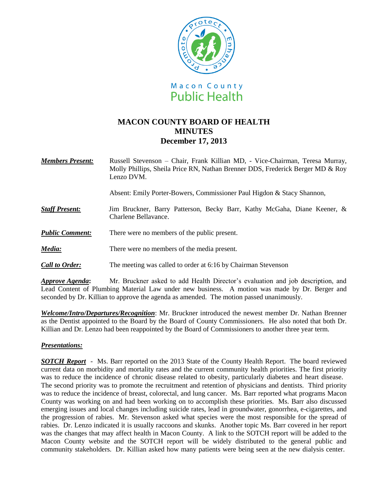

# **MACON COUNTY BOARD OF HEALTH MINUTES December 17, 2013**

*Members Present:* Russell Stevenson – Chair, Frank Killian MD, - Vice-Chairman, Teresa Murray, Molly Phillips, Sheila Price RN, Nathan Brenner DDS, Frederick Berger MD & Roy Lenzo DVM.

Absent: Emily Porter-Bowers, Commissioner Paul Higdon & Stacy Shannon,

- *Staff Present:*Jim Bruckner, Barry Patterson, Becky Barr, Kathy McGaha, Diane Keener, & Charlene Bellavance.
- *Public Comment:* There were no members of the public present.
- *Media:* There were no members of the media present.
- *Call to Order:* The meeting was called to order at 6:16 by Chairman Stevenson

*Approve Agenda***:** Mr. Bruckner asked to add Health Director's evaluation and job description, and Lead Content of Plumbing Material Law under new business. A motion was made by Dr. Berger and seconded by Dr. Killian to approve the agenda as amended. The motion passed unanimously.

*Welcome/Intro/Departures/Recognition*: Mr. Bruckner introduced the newest member Dr. Nathan Brenner as the Dentist appointed to the Board by the Board of County Commissioners. He also noted that both Dr. Killian and Dr. Lenzo had been reappointed by the Board of Commissioners to another three year term.

## *Presentations:*

*SOTCH Report* - Ms. Barr reported on the 2013 State of the County Health Report. The board reviewed current data on morbidity and mortality rates and the current community health priorities. The first priority was to reduce the incidence of chronic disease related to obesity, particularly diabetes and heart disease. The second priority was to promote the recruitment and retention of physicians and dentists. Third priority was to reduce the incidence of breast, colorectal, and lung cancer. Ms. Barr reported what programs Macon County was working on and had been working on to accomplish these priorities. Ms. Barr also discussed emerging issues and local changes including suicide rates, lead in groundwater, gonorrhea, e-cigarettes, and the progression of rabies. Mr. Stevenson asked what species were the most responsible for the spread of rabies. Dr. Lenzo indicated it is usually raccoons and skunks. Another topic Ms. Barr covered in her report was the changes that may affect health in Macon County. A link to the SOTCH report will be added to the Macon County website and the SOTCH report will be widely distributed to the general public and community stakeholders. Dr. Killian asked how many patients were being seen at the new dialysis center.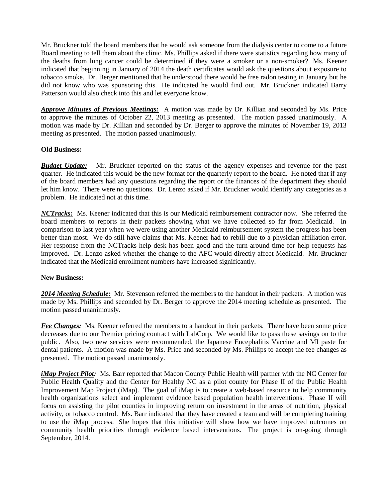Mr. Bruckner told the board members that he would ask someone from the dialysis center to come to a future Board meeting to tell them about the clinic. Ms. Phillips asked if there were statistics regarding how many of the deaths from lung cancer could be determined if they were a smoker or a non-smoker? Ms. Keener indicated that beginning in January of 2014 the death certificates would ask the questions about exposure to tobacco smoke. Dr. Berger mentioned that he understood there would be free radon testing in January but he did not know who was sponsoring this. He indicated he would find out. Mr. Bruckner indicated Barry Patterson would also check into this and let everyone know.

*Approve Minutes of Previous Meetings:* A motion was made by Dr. Killian and seconded by Ms. Price to approve the minutes of October 22, 2013 meeting as presented. The motion passed unanimously. A motion was made by Dr. Killian and seconded by Dr. Berger to approve the minutes of November 19, 2013 meeting as presented. The motion passed unanimously.

### **Old Business:**

*Budget Update:* Mr. Bruckner reported on the status of the agency expenses and revenue for the past quarter. He indicated this would be the new format for the quarterly report to the board. He noted that if any of the board members had any questions regarding the report or the finances of the department they should let him know. There were no questions. Dr. Lenzo asked if Mr. Bruckner would identify any categories as a problem. He indicated not at this time.

*NCTracks:* Ms. Keener indicated that this is our Medicaid reimbursement contractor now. She referred the board members to reports in their packets showing what we have collected so far from Medicaid. In comparison to last year when we were using another Medicaid reimbursement system the progress has been better than most. We do still have claims that Ms. Keener had to rebill due to a physician affiliation error. Her response from the NCTracks help desk has been good and the turn-around time for help requests has improved. Dr. Lenzo asked whether the change to the AFC would directly affect Medicaid. Mr. Bruckner indicated that the Medicaid enrollment numbers have increased significantly.

### **New Business:**

*2014 Meeting Schedule:* Mr. Stevenson referred the members to the handout in their packets. A motion was made by Ms. Phillips and seconded by Dr. Berger to approve the 2014 meeting schedule as presented. The motion passed unanimously.

*Fee Changes:* Ms. Keener referred the members to a handout in their packets. There have been some price decreases due to our Premier pricing contract with LabCorp. We would like to pass these savings on to the public. Also, two new services were recommended, the Japanese Encephalitis Vaccine and MI paste for dental patients. A motion was made by Ms. Price and seconded by Ms. Phillips to accept the fee changes as presented. The motion passed unanimously.

*iMap Project Pilot:* Ms. Barr reported that Macon County Public Health will partner with the NC Center for Public Health Quality and the Center for Healthy NC as a pilot county for Phase II of the Public Health Improvement Map Project (iMap). The goal of iMap is to create a web-based resource to help community health organizations select and implement evidence based population health interventions. Phase II will focus on assisting the pilot counties in improving return on investment in the areas of nutrition, physical activity, or tobacco control. Ms. Barr indicated that they have created a team and will be completing training to use the iMap process. She hopes that this initiative will show how we have improved outcomes on community health priorities through evidence based interventions. The project is on-going through September, 2014.